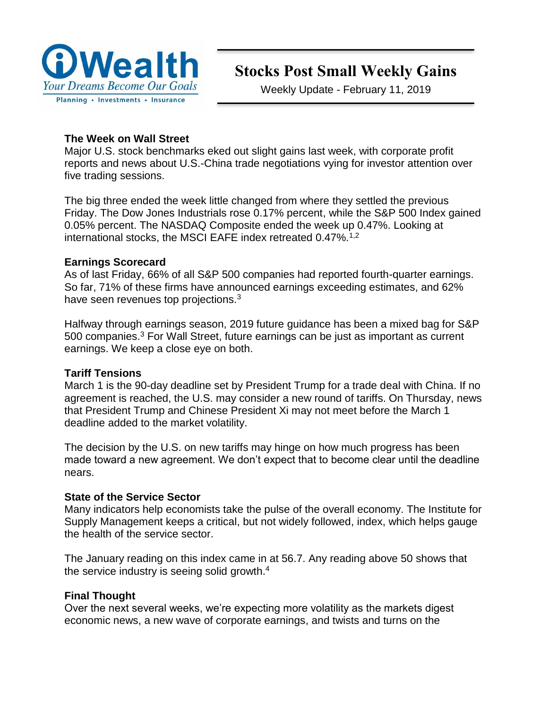

# **Stocks Post Small Weekly Gains**

Weekly Update - February 11, 2019

#### **The Week on Wall Street**

Major U.S. stock benchmarks eked out slight gains last week, with corporate profit reports and news about U.S.-China trade negotiations vying for investor attention over five trading sessions.

The big three ended the week little changed from where they settled the previous Friday. The Dow Jones Industrials rose 0.17% percent, while the S&P 500 Index gained 0.05% percent. The NASDAQ Composite ended the week up 0.47%. Looking at international stocks, the MSCI EAFE index retreated  $0.47\%$ .<sup>1,2</sup>

#### **Earnings Scorecard**

As of last Friday, 66% of all S&P 500 companies had reported fourth-quarter earnings. So far, 71% of these firms have announced earnings exceeding estimates, and 62% have seen revenues top projections.<sup>3</sup>

Halfway through earnings season, 2019 future guidance has been a mixed bag for S&P 500 companies.<sup>3</sup> For Wall Street, future earnings can be just as important as current earnings. We keep a close eye on both.

#### **Tariff Tensions**

March 1 is the 90-day deadline set by President Trump for a trade deal with China. If no agreement is reached, the U.S. may consider a new round of tariffs. On Thursday, news that President Trump and Chinese President Xi may not meet before the March 1 deadline added to the market volatility.

The decision by the U.S. on new tariffs may hinge on how much progress has been made toward a new agreement. We don't expect that to become clear until the deadline nears.

#### **State of the Service Sector**

Many indicators help economists take the pulse of the overall economy. The Institute for Supply Management keeps a critical, but not widely followed, index, which helps gauge the health of the service sector.

The January reading on this index came in at 56.7. Any reading above 50 shows that the service industry is seeing solid growth.<sup>4</sup>

#### **Final Thought**

Over the next several weeks, we're expecting more volatility as the markets digest economic news, a new wave of corporate earnings, and twists and turns on the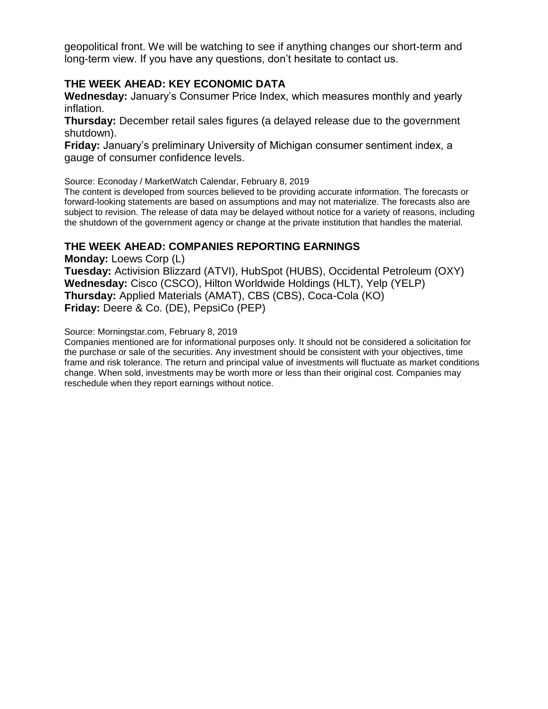geopolitical front. We will be watching to see if anything changes our short-term and long-term view. If you have any questions, don't hesitate to contact us.

#### **THE WEEK AHEAD: KEY ECONOMIC DATA**

**Wednesday:** January's Consumer Price Index, which measures monthly and yearly inflation.

**Thursday:** December retail sales figures (a delayed release due to the government shutdown).

**Friday:** January's preliminary University of Michigan consumer sentiment index, a gauge of consumer confidence levels.

Source: Econoday / MarketWatch Calendar, February 8, 2019

The content is developed from sources believed to be providing accurate information. The forecasts or forward-looking statements are based on assumptions and may not materialize. The forecasts also are subject to revision. The release of data may be delayed without notice for a variety of reasons, including the shutdown of the government agency or change at the private institution that handles the material.

#### **THE WEEK AHEAD: COMPANIES REPORTING EARNINGS**

**Monday:** Loews Corp (L) **Tuesday:** Activision Blizzard (ATVI), HubSpot (HUBS), Occidental Petroleum (OXY) **Wednesday:** Cisco (CSCO), Hilton Worldwide Holdings (HLT), Yelp (YELP) **Thursday:** Applied Materials (AMAT), CBS (CBS), Coca-Cola (KO) **Friday:** Deere & Co. (DE), PepsiCo (PEP)

Source: Morningstar.com, February 8, 2019

Companies mentioned are for informational purposes only. It should not be considered a solicitation for the purchase or sale of the securities. Any investment should be consistent with your objectives, time frame and risk tolerance. The return and principal value of investments will fluctuate as market conditions change. When sold, investments may be worth more or less than their original cost. Companies may reschedule when they report earnings without notice.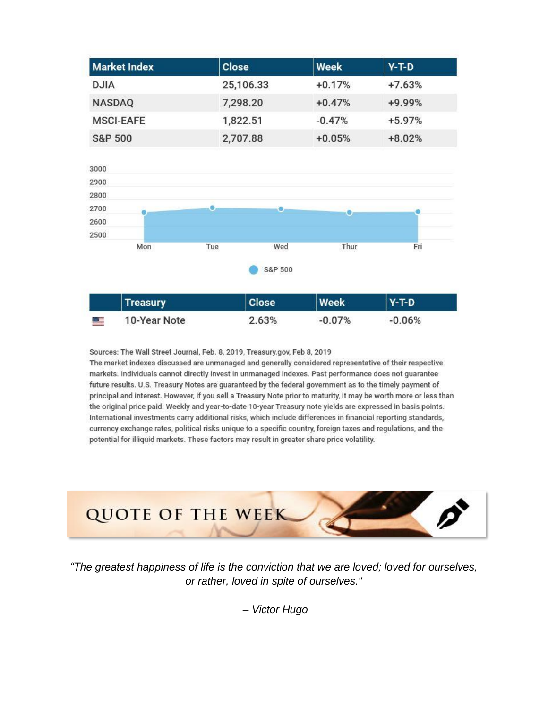| <b>Market Index</b> | <b>Close</b> | Week     | $Y-T-D$  |
|---------------------|--------------|----------|----------|
| <b>DJIA</b>         | 25,106.33    | $+0.17%$ | $+7.63%$ |
| <b>NASDAQ</b>       | 7,298.20     | $+0.47%$ | +9.99%   |
| <b>MSCI-EAFE</b>    | 1,822.51     | $-0.47%$ | $+5.97%$ |
| <b>S&amp;P 500</b>  | 2,707.88     | $+0.05%$ | $+8.02%$ |



Sources: The Wall Street Journal, Feb. 8, 2019, Treasury.gov, Feb 8, 2019

The market indexes discussed are unmanaged and generally considered representative of their respective markets. Individuals cannot directly invest in unmanaged indexes. Past performance does not guarantee future results. U.S. Treasury Notes are guaranteed by the federal government as to the timely payment of principal and interest. However, if you sell a Treasury Note prior to maturity, it may be worth more or less than the original price paid. Weekly and year-to-date 10-year Treasury note yields are expressed in basis points. International investments carry additional risks, which include differences in financial reporting standards, currency exchange rates, political risks unique to a specific country, foreign taxes and regulations, and the potential for illiquid markets. These factors may result in greater share price volatility.



*"The greatest happiness of life is the conviction that we are loved; loved for ourselves, or rather, loved in spite of ourselves."*

*– Victor Hugo*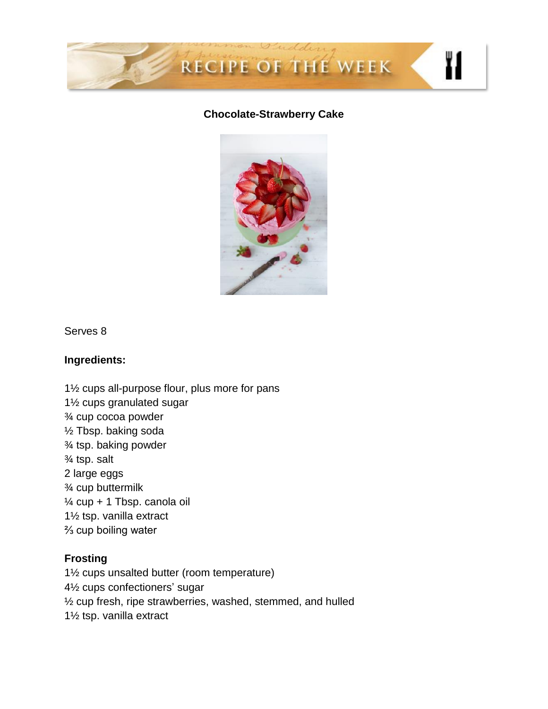

### **Chocolate-Strawberry Cake**



Serves 8

#### **Ingredients:**

1½ cups all-purpose flour, plus more for pans 1½ cups granulated sugar ¾ cup cocoa powder ½ Tbsp. baking soda ¾ tsp. baking powder ¾ tsp. salt 2 large eggs ¾ cup buttermilk ¼ cup + 1 Tbsp. canola oil 1½ tsp. vanilla extract ⅔ cup boiling water

## **Frosting**

1½ cups unsalted butter (room temperature) 4½ cups confectioners' sugar ½ cup fresh, ripe strawberries, washed, stemmed, and hulled 1½ tsp. vanilla extract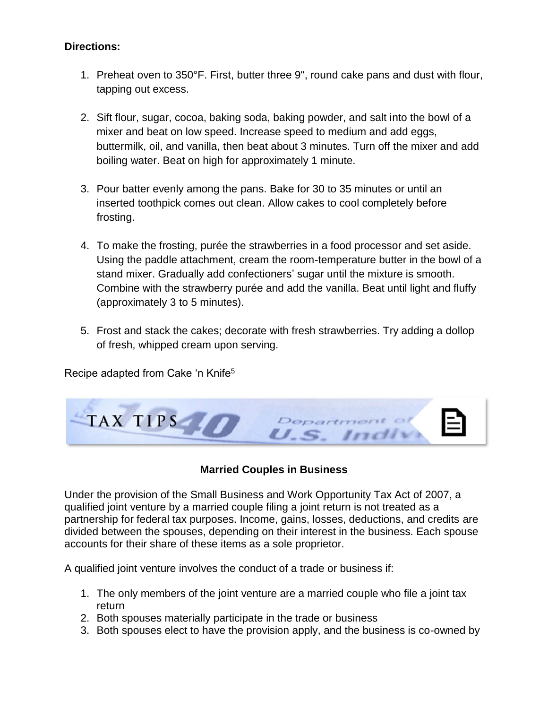#### **Directions:**

- 1. Preheat oven to 350°F. First, butter three 9", round cake pans and dust with flour, tapping out excess.
- 2. Sift flour, sugar, cocoa, baking soda, baking powder, and salt into the bowl of a mixer and beat on low speed. Increase speed to medium and add eggs, buttermilk, oil, and vanilla, then beat about 3 minutes. Turn off the mixer and add boiling water. Beat on high for approximately 1 minute.
- 3. Pour batter evenly among the pans. Bake for 30 to 35 minutes or until an inserted toothpick comes out clean. Allow cakes to cool completely before frosting.
- 4. To make the frosting, purée the strawberries in a food processor and set aside. Using the paddle attachment, cream the room-temperature butter in the bowl of a stand mixer. Gradually add confectioners' sugar until the mixture is smooth. Combine with the strawberry purée and add the vanilla. Beat until light and fluffy (approximately 3 to 5 minutes).
- 5. Frost and stack the cakes; decorate with fresh strawberries. Try adding a dollop of fresh, whipped cream upon serving.

Recipe adapted from Cake 'n Knife<sup>5</sup>



#### **Married Couples in Business**

Under the provision of the Small Business and Work Opportunity Tax Act of 2007, a qualified joint venture by a married couple filing a joint return is not treated as a partnership for federal tax purposes. Income, gains, losses, deductions, and credits are divided between the spouses, depending on their interest in the business. Each spouse accounts for their share of these items as a sole proprietor.

A qualified joint venture involves the conduct of a trade or business if:

- 1. The only members of the joint venture are a married couple who file a joint tax return
- 2. Both spouses materially participate in the trade or business
- 3. Both spouses elect to have the provision apply, and the business is co-owned by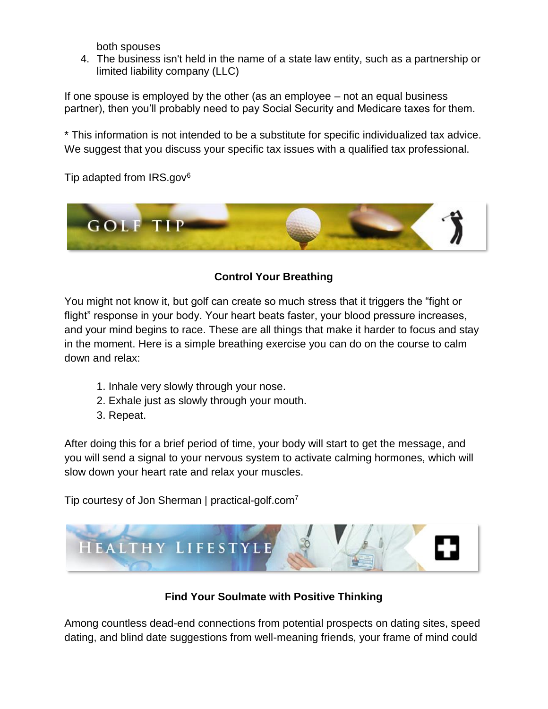both spouses

4. The business isn't held in the name of a state law entity, such as a partnership or limited liability company (LLC)

If one spouse is employed by the other (as an employee – not an equal business partner), then you'll probably need to pay Social Security and Medicare taxes for them.

\* This information is not intended to be a substitute for specific individualized tax advice. We suggest that you discuss your specific tax issues with a qualified tax professional.

Tip adapted from  $IRS.gov<sup>6</sup>$ 



## **Control Your Breathing**

You might not know it, but golf can create so much stress that it triggers the "fight or flight" response in your body. Your heart beats faster, your blood pressure increases, and your mind begins to race. These are all things that make it harder to focus and stay in the moment. Here is a simple breathing exercise you can do on the course to calm down and relax:

- 1. Inhale very slowly through your nose.
- 2. Exhale just as slowly through your mouth.
- 3. Repeat.

After doing this for a brief period of time, your body will start to get the message, and you will send a signal to your nervous system to activate calming hormones, which will slow down your heart rate and relax your muscles.

Tip courtesy of Jon Sherman | practical-golf.com<sup>7</sup>



**Find Your Soulmate with Positive Thinking**

Among countless dead-end connections from potential prospects on dating sites, speed dating, and blind date suggestions from well-meaning friends, your frame of mind could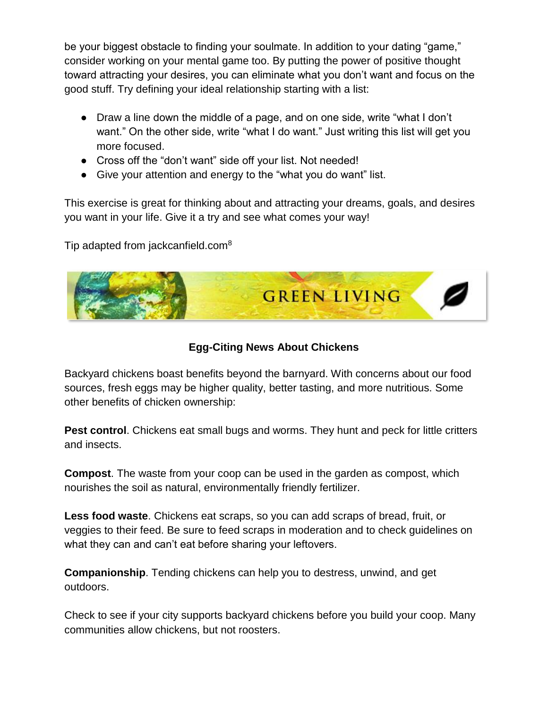be your biggest obstacle to finding your soulmate. In addition to your dating "game," consider working on your mental game too. By putting the power of positive thought toward attracting your desires, you can eliminate what you don't want and focus on the good stuff. Try defining your ideal relationship starting with a list:

- Draw a line down the middle of a page, and on one side, write "what I don't want." On the other side, write "what I do want." Just writing this list will get you more focused.
- Cross off the "don't want" side off your list. Not needed!
- Give your attention and energy to the "what you do want" list.

This exercise is great for thinking about and attracting your dreams, goals, and desires you want in your life. Give it a try and see what comes your way!

Tip adapted from jackcanfield.com<sup>8</sup>



## **Egg-Citing News About Chickens**

Backyard chickens boast benefits beyond the barnyard. With concerns about our food sources, fresh eggs may be higher quality, better tasting, and more nutritious. Some other benefits of chicken ownership:

**Pest control**. Chickens eat small bugs and worms. They hunt and peck for little critters and insects.

**Compost**. The waste from your coop can be used in the garden as compost, which nourishes the soil as natural, environmentally friendly fertilizer.

**Less food waste**. Chickens eat scraps, so you can add scraps of bread, fruit, or veggies to their feed. Be sure to feed scraps in moderation and to check guidelines on what they can and can't eat before sharing your leftovers.

**Companionship**. Tending chickens can help you to destress, unwind, and get outdoors.

Check to see if your city supports backyard chickens before you build your coop. Many communities allow chickens, but not roosters.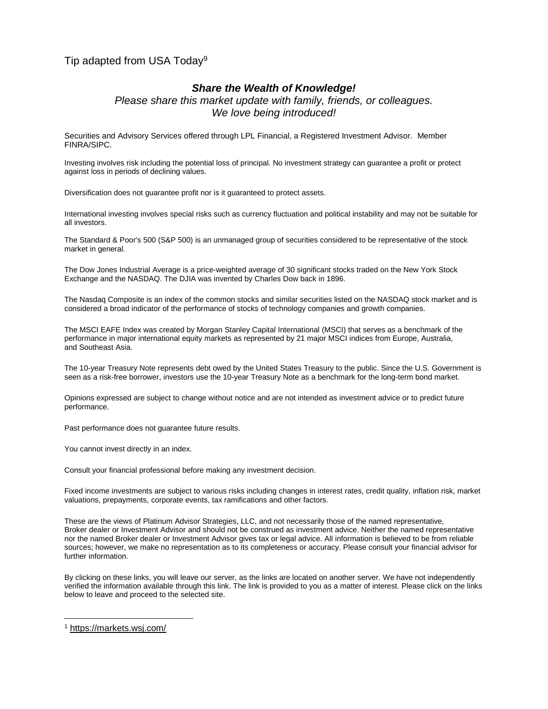#### Tip adapted from USA Today<sup>9</sup>

#### *Share the Wealth of Knowledge!*

*Please share this market update with family, friends, or colleagues. We love being introduced!*

Securities and Advisory Services offered through LPL Financial, a Registered Investment Advisor. Member FINRA/SIPC.

Investing involves risk including the potential loss of principal. No investment strategy can guarantee a profit or protect against loss in periods of declining values.

Diversification does not guarantee profit nor is it guaranteed to protect assets.

International investing involves special risks such as currency fluctuation and political instability and may not be suitable for all investors.

The Standard & Poor's 500 (S&P 500) is an unmanaged group of securities considered to be representative of the stock market in general.

The Dow Jones Industrial Average is a price-weighted average of 30 significant stocks traded on the New York Stock Exchange and the NASDAQ. The DJIA was invented by Charles Dow back in 1896.

The Nasdaq Composite is an index of the common stocks and similar securities listed on the NASDAQ stock market and is considered a broad indicator of the performance of stocks of technology companies and growth companies.

The MSCI EAFE Index was created by Morgan Stanley Capital International (MSCI) that serves as a benchmark of the performance in major international equity markets as represented by 21 major MSCI indices from Europe, Australia, and Southeast Asia.

The 10-year Treasury Note represents debt owed by the United States Treasury to the public. Since the U.S. Government is seen as a risk-free borrower, investors use the 10-year Treasury Note as a benchmark for the long-term bond market.

Opinions expressed are subject to change without notice and are not intended as investment advice or to predict future performance.

Past performance does not guarantee future results.

You cannot invest directly in an index.

Consult your financial professional before making any investment decision.

Fixed income investments are subject to various risks including changes in interest rates, credit quality, inflation risk, market valuations, prepayments, corporate events, tax ramifications and other factors.

These are the views of Platinum Advisor Strategies, LLC, and not necessarily those of the named representative, Broker dealer or Investment Advisor and should not be construed as investment advice. Neither the named representative nor the named Broker dealer or Investment Advisor gives tax or legal advice. All information is believed to be from reliable sources; however, we make no representation as to its completeness or accuracy. Please consult your financial advisor for further information.

By clicking on these links, you will leave our server, as the links are located on another server. We have not independently verified the information available through this link. The link is provided to you as a matter of interest. Please click on the links below to leave and proceed to the selected site.

<sup>1</sup> <https://markets.wsj.com/>